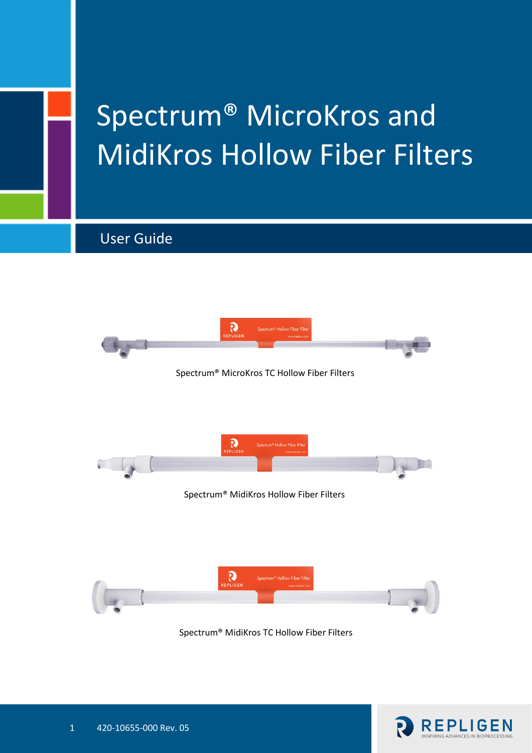# Spectrum® MicroKros and MidiKros Hollow Fiber Filters

User Guide



Spectrum® MidiKros TC Hollow Fiber Filters

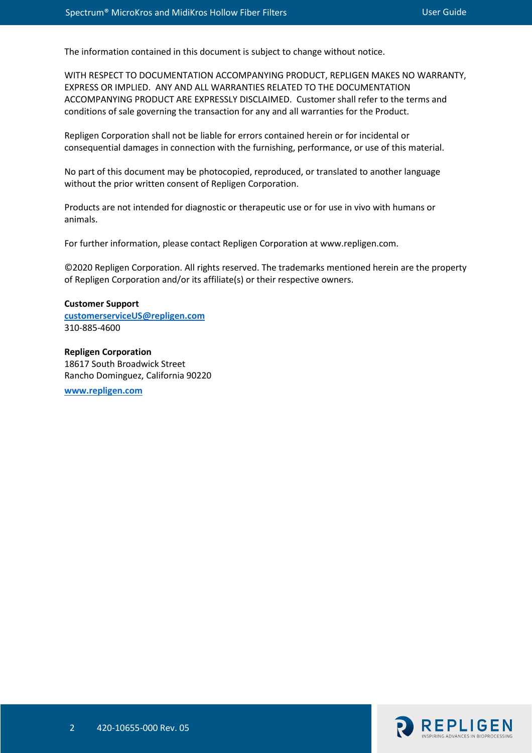The information contained in this document is subject to change without notice.

WITH RESPECT TO DOCUMENTATION ACCOMPANYING PRODUCT, REPLIGEN MAKES NO WARRANTY, EXPRESS OR IMPLIED. ANY AND ALL WARRANTIES RELATED TO THE DOCUMENTATION ACCOMPANYING PRODUCT ARE EXPRESSLY DISCLAIMED. Customer shall refer to the terms and conditions of sale governing the transaction for any and all warranties for the Product.

Repligen Corporation shall not be liable for errors contained herein or for incidental or consequential damages in connection with the furnishing, performance, or use of this material.

No part of this document may be photocopied, reproduced, or translated to another language without the prior written consent of Repligen Corporation.

Products are not intended for diagnostic or therapeutic use or for use in vivo with humans or animals.

For further information, please contact Repligen Corporation at www.repligen.com.

©2020 Repligen Corporation. All rights reserved. The trademarks mentioned herein are the property of Repligen Corporation and/or its affiliate(s) or their respective owners.

#### **Customer Support [customerserviceUS@repligen.com](mailto:customerserviceUS@repligen.com)** 310-885-4600

**Repligen Corporation** 18617 South Broadwick Street Rancho Dominguez, California 90220

**[www.repligen.com](http://www.repligen.com/)**

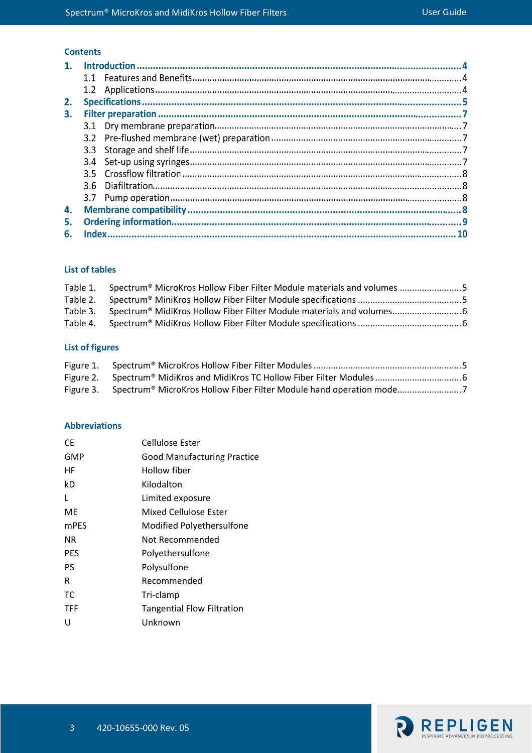# **Contents**

| 2. |  |  |
|----|--|--|
| З. |  |  |
|    |  |  |
|    |  |  |
|    |  |  |
|    |  |  |
|    |  |  |
|    |  |  |
|    |  |  |
| 4. |  |  |
| 5. |  |  |
| 6. |  |  |
|    |  |  |

#### **List of tables**

| Table 1. Spectrum® MicroKros Hollow Fiber Filter Module materials and volumes 5 |  |
|---------------------------------------------------------------------------------|--|
|                                                                                 |  |
| Table 3. Spectrum® MidiKros Hollow Fiber Filter Module materials and volumes    |  |
|                                                                                 |  |
|                                                                                 |  |

# **List of figures**

| Figure 3. Spectrum® MicroKros Hollow Fiber Filter Module hand operation mode |  |
|------------------------------------------------------------------------------|--|

#### **Abbreviations**

| CF.         | Cellulose Ester                    |
|-------------|------------------------------------|
| GMP         | <b>Good Manufacturing Practice</b> |
| НF          | Hollow fiber                       |
| kD          | Kilodalton                         |
| L           | Limited exposure                   |
| ME          | Mixed Cellulose Ester              |
| <b>mPES</b> | Modified Polyethersulfone          |
| ΝR          | Not Recommended                    |
| <b>PES</b>  | Polyethersulfone                   |
| PS          | Polysulfone                        |
| R           | Recommended                        |
| ТC          | Tri-clamp                          |
| <b>TFF</b>  | <b>Tangential Flow Filtration</b>  |
| U           | Unknown                            |

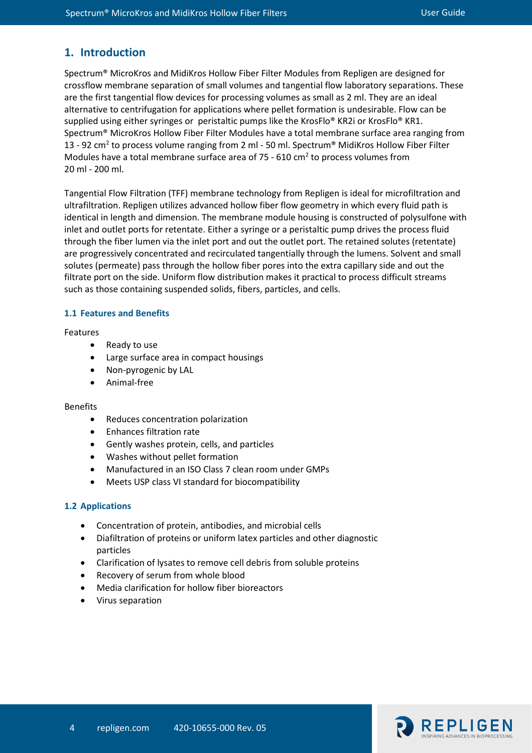# **1. Introduction**

Spectrum® MicroKros and MidiKros Hollow Fiber Filter Modules from Repligen are designed for crossflow membrane separation of small volumes and tangential flow laboratory separations. These are the first tangential flow devices for processing volumes as small as 2 ml. They are an ideal alternative to centrifugation for applications where pellet formation is undesirable. Flow can be supplied using either syringes or peristaltic pumps like the KrosFlo® KR2i or KrosFlo® KR1. Spectrum® MicroKros Hollow Fiber Filter Modules have a total membrane surface area ranging from 13 - 92 cm<sup>2</sup> to process volume ranging from 2 ml - 50 ml. Spectrum<sup>®</sup> MidiKros Hollow Fiber Filter Modules have a total membrane surface area of 75 - 610 cm<sup>2</sup> to process volumes from 20 ml - 200 ml.

Tangential Flow Filtration (TFF) membrane technology from Repligen is ideal for microfiltration and ultrafiltration. Repligen utilizes advanced hollow fiber flow geometry in which every fluid path is identical in length and dimension. The membrane module housing is constructed of polysulfone with inlet and outlet ports for retentate. Either a syringe or a peristaltic pump drives the process fluid through the fiber lumen via the inlet port and out the outlet port. The retained solutes (retentate) are progressively concentrated and recirculated tangentially through the lumens. Solvent and small solutes (permeate) pass through the hollow fiber pores into the extra capillary side and out the filtrate port on the side. Uniform flow distribution makes it practical to process difficult streams such as those containing suspended solids, fibers, particles, and cells.

#### **1.1 Features and Benefits**

Features

- Ready to use
- Large surface area in compact housings
- Non-pyrogenic by LAL
- Animal-free

#### Benefits

- Reduces concentration polarization
- Enhances filtration rate
- Gently washes protein, cells, and particles
- Washes without pellet formation
- Manufactured in an ISO Class 7 clean room under GMPs
- Meets USP class VI standard for biocompatibility

#### **1.2 Applications**

- Concentration of protein, antibodies, and microbial cells
- Diafiltration of proteins or uniform latex particles and other diagnostic particles
- Clarification of lysates to remove cell debris from soluble proteins
- Recovery of serum from whole blood
- Media clarification for hollow fiber bioreactors
- Virus separation

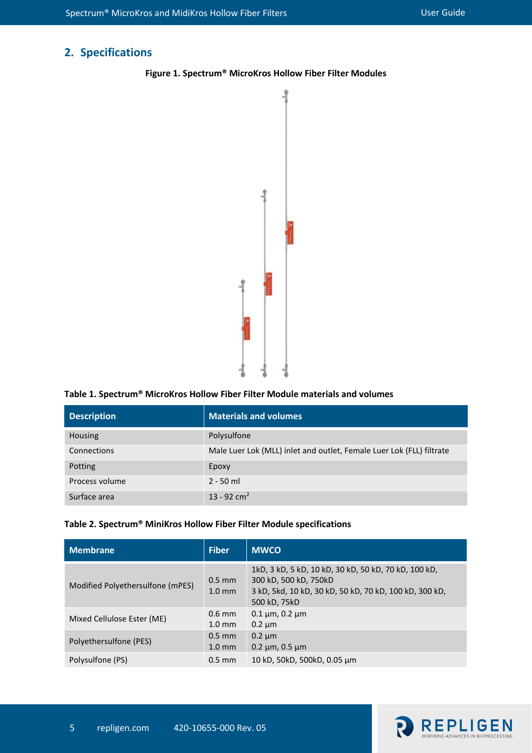# <span id="page-4-2"></span>**2. Specifications**



**Figure 1. Spectrum® MicroKros Hollow Fiber Filter Modules**

#### <span id="page-4-0"></span>**Table 1. Spectrum® MicroKros Hollow Fiber Filter Module materials and volumes**

| <b>Description</b> | <b>Materials and volumes</b>                                         |  |
|--------------------|----------------------------------------------------------------------|--|
| Housing            | Polysulfone                                                          |  |
| Connections        | Male Luer Lok (MLL) inlet and outlet, Female Luer Lok (FLL) filtrate |  |
| Potting            | Epoxy                                                                |  |
| Process volume     | $2 - 50$ ml                                                          |  |
| Surface area       | $13 - 92$ cm <sup>2</sup>                                            |  |

#### <span id="page-4-1"></span>**Table 2. Spectrum® MiniKros Hollow Fiber Filter Module specifications**

| <b>Membrane</b>                  | <b>Fiber</b>                 | <b>MWCO</b>                                                                                                                                             |
|----------------------------------|------------------------------|---------------------------------------------------------------------------------------------------------------------------------------------------------|
| Modified Polyethersulfone (mPES) | $0.5$ mm<br>$1.0 \text{ mm}$ | 1kD, 3 kD, 5 kD, 10 kD, 30 kD, 50 kD, 70 kD, 100 kD,<br>300 kD, 500 kD, 750kD<br>3 kD, 5kd, 10 kD, 30 kD, 50 kD, 70 kD, 100 kD, 300 kD,<br>500 kD, 75kD |
| Mixed Cellulose Ester (ME)       | $0.6$ mm<br>$1.0 \text{ mm}$ | $0.1 \,\mu m$ , 0.2 $\mu m$<br>$0.2 \mu m$                                                                                                              |
| Polyethersulfone (PES)           | $0.5$ mm<br>$1.0 \text{ mm}$ | $0.2 \mu m$<br>$0.2 \mu m$ , 0.5 $\mu m$                                                                                                                |
| Polysulfone (PS)                 | $0.5 \text{ mm}$             | 10 kD, 50kD, 500kD, 0.05 µm                                                                                                                             |

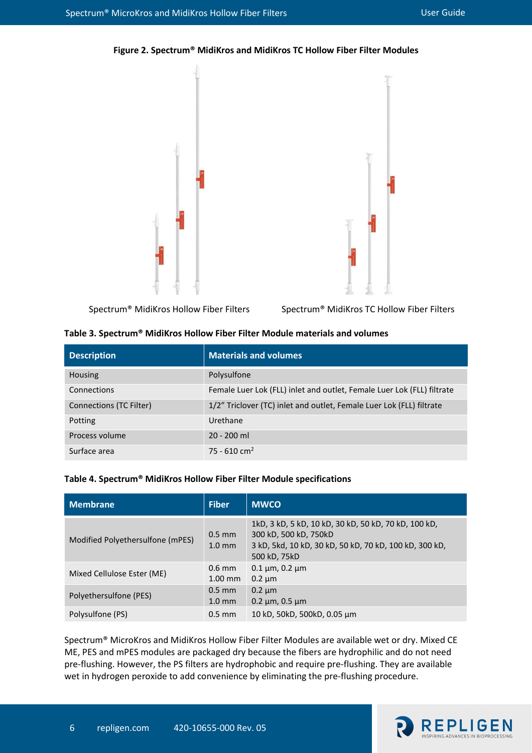<span id="page-5-2"></span>



Spectrum® MidiKros Hollow Fiber Filters Spectrum® MidiKros TC Hollow Fiber Filters

#### <span id="page-5-0"></span>**Table 3. Spectrum® MidiKros Hollow Fiber Filter Module materials and volumes**

| <b>Description</b>      | <b>Materials and volumes</b>                                           |  |
|-------------------------|------------------------------------------------------------------------|--|
| <b>Housing</b>          | Polysulfone                                                            |  |
| Connections             | Female Luer Lok (FLL) inlet and outlet, Female Luer Lok (FLL) filtrate |  |
| Connections (TC Filter) | 1/2" Triclover (TC) inlet and outlet, Female Luer Lok (FLL) filtrate   |  |
| Potting                 | Urethane                                                               |  |
| Process volume          | $20 - 200$ ml                                                          |  |
| Surface area            | 75 - 610 cm <sup>2</sup>                                               |  |

#### <span id="page-5-1"></span>**Table 4. Spectrum® MidiKros Hollow Fiber Filter Module specifications**

| <b>Membrane</b>                  | <b>Fiber</b>                 | <b>MWCO</b>                                                                                                                                             |
|----------------------------------|------------------------------|---------------------------------------------------------------------------------------------------------------------------------------------------------|
| Modified Polyethersulfone (mPES) | $0.5$ mm<br>$1.0 \text{ mm}$ | 1kD, 3 kD, 5 kD, 10 kD, 30 kD, 50 kD, 70 kD, 100 kD,<br>300 kD, 500 kD, 750kD<br>3 kD, 5kd, 10 kD, 30 kD, 50 kD, 70 kD, 100 kD, 300 kD,<br>500 kD, 75kD |
| Mixed Cellulose Ester (ME)       | $0.6$ mm<br>$1.00$ mm        | $0.1 \mu m$ , 0.2 $\mu m$<br>$0.2 \mu m$                                                                                                                |
| Polyethersulfone (PES)           | $0.5$ mm<br>$1.0 \text{ mm}$ | $0.2 \mu m$<br>$0.2 \mu m$ , 0.5 $\mu m$                                                                                                                |
| Polysulfone (PS)                 | $0.5$ mm                     | 10 kD, 50kD, 500kD, 0.05 μm                                                                                                                             |

Spectrum® MicroKros and MidiKros Hollow Fiber Filter Modules are available wet or dry. Mixed CE ME, PES and mPES modules are packaged dry because the fibers are hydrophilic and do not need pre-flushing. However, the PS filters are hydrophobic and require pre-flushing. They are available wet in hydrogen peroxide to add convenience by eliminating the pre-flushing procedure.

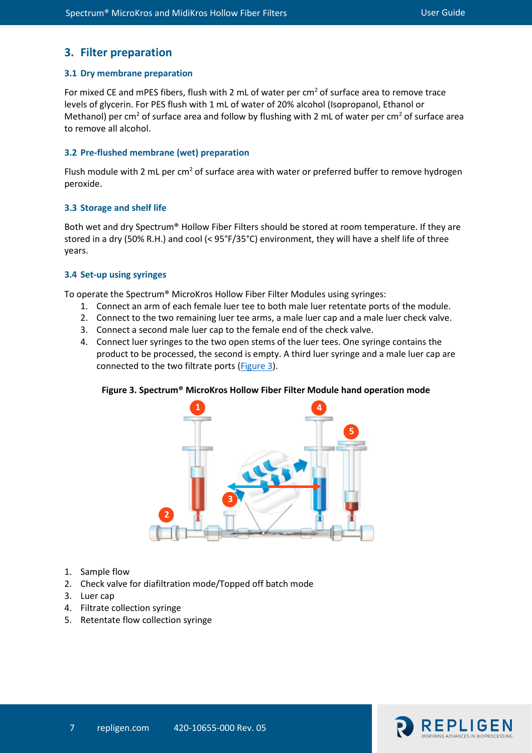# **3. Filter preparation**

#### **3.1 Dry membrane preparation**

For mixed CE and mPES fibers, flush with 2 mL of water per  $cm<sup>2</sup>$  of surface area to remove trace levels of glycerin. For PES flush with 1 mL of water of 20% alcohol (Isopropanol, Ethanol or Methanol) per cm<sup>2</sup> of surface area and follow by flushing with 2 mL of water per cm<sup>2</sup> of surface area to remove all alcohol.

### **3.2 Pre-flushed membrane (wet) preparation**

Flush module with 2 mL per cm<sup>2</sup> of surface area with water or preferred buffer to remove hydrogen peroxide.

#### **3.3 Storage and shelf life**

Both wet and dry Spectrum® Hollow Fiber Filters should be stored at room temperature. If they are stored in a dry (50% R.H.) and cool (< 95°F/35°C) environment, they will have a shelf life of three years.

#### **3.4 Set-up using syringes**

To operate the Spectrum® MicroKros Hollow Fiber Filter Modules using syringes:

- 1. Connect an arm of each female luer tee to both male luer retentate ports of the module.
- 2. Connect to the two remaining luer tee arms, a male luer cap and a male luer check valve.
- 3. Connect a second male luer cap to the female end of the check valve.
- 4. Connect luer syringes to the two open stems of the luer tees. One syringe contains the product to be processed, the second is empty. A third luer syringe and a male luer cap are connected to the two filtrate ports [\(Figure 3\)](#page-6-1).

## <span id="page-6-0"></span>**Figure 3. Spectrum® MicroKros Hollow Fiber Filter Module hand operation mode**

<span id="page-6-1"></span>

- 1. Sample flow
- 2. Check valve for diafiltration mode/Topped off batch mode
- 3. Luer cap
- 4. Filtrate collection syringe
- 5. Retentate flow collection syringe

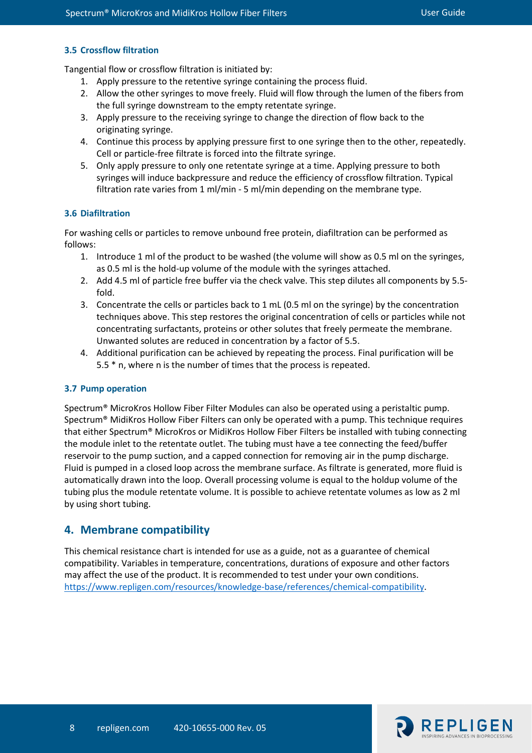#### **3.5 Crossflow filtration**

Tangential flow or crossflow filtration is initiated by:

- 1. Apply pressure to the retentive syringe containing the process fluid.
- 2. Allow the other syringes to move freely. Fluid will flow through the lumen of the fibers from the full syringe downstream to the empty retentate syringe.
- 3. Apply pressure to the receiving syringe to change the direction of flow back to the originating syringe.
- 4. Continue this process by applying pressure first to one syringe then to the other, repeatedly. Cell or particle-free filtrate is forced into the filtrate syringe.
- 5. Only apply pressure to only one retentate syringe at a time. Applying pressure to both syringes will induce backpressure and reduce the efficiency of crossflow filtration. Typical filtration rate varies from 1 ml/min - 5 ml/min depending on the membrane type.

#### **3.6 Diafiltration**

For washing cells or particles to remove unbound free protein, diafiltration can be performed as follows:

- 1. Introduce 1 ml of the product to be washed (the volume will show as 0.5 ml on the syringes, as 0.5 ml is the hold-up volume of the module with the syringes attached.
- 2. Add 4.5 ml of particle free buffer via the check valve. This step dilutes all components by 5.5 fold.
- 3. Concentrate the cells or particles back to 1 mL (0.5 ml on the syringe) by the concentration techniques above. This step restores the original concentration of cells or particles while not concentrating surfactants, proteins or other solutes that freely permeate the membrane. Unwanted solutes are reduced in concentration by a factor of 5.5.
- 4. Additional purification can be achieved by repeating the process. Final purification will be 5.5 \* n, where n is the number of times that the process is repeated.

#### **3.7 Pump operation**

Spectrum® MicroKros Hollow Fiber Filter Modules can also be operated using a peristaltic pump. Spectrum® MidiKros Hollow Fiber Filters can only be operated with a pump. This technique requires that either Spectrum® MicroKros or MidiKros Hollow Fiber Filters be installed with tubing connecting the module inlet to the retentate outlet. The tubing must have a tee connecting the feed/buffer reservoir to the pump suction, and a capped connection for removing air in the pump discharge. Fluid is pumped in a closed loop across the membrane surface. As filtrate is generated, more fluid is automatically drawn into the loop. Overall processing volume is equal to the holdup volume of the tubing plus the module retentate volume. It is possible to achieve retentate volumes as low as 2 ml by using short tubing.

#### **4. Membrane compatibility**

This chemical resistance chart is intended for use as a guide, not as a guarantee of chemical compatibility. Variables in temperature, concentrations, durations of exposure and other factors may affect the use of the product. It is recommended to test under your own conditions. [https://www.repligen.com/resources/knowledge-base/references/chemical-compatibility.](https://www.repligen.com/resources/knowledge-base/references/chemical-compatibility)

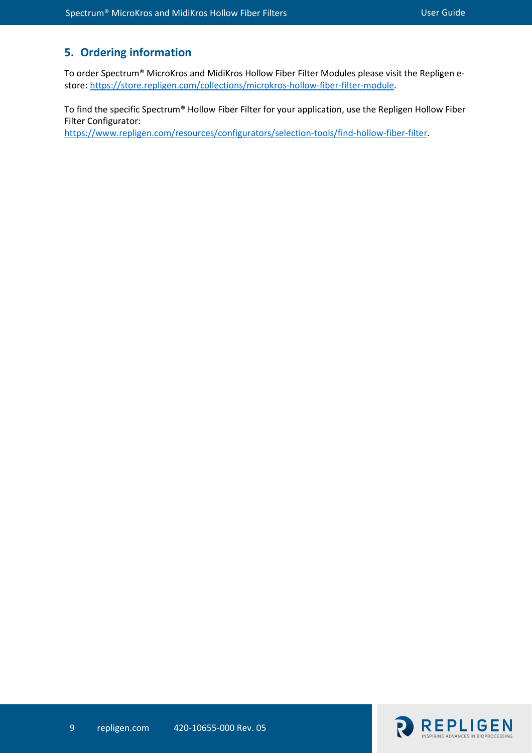# **5. Ordering information**

To order Spectrum® MicroKros and MidiKros Hollow Fiber Filter Modules please visit the Repligen estore: [https://store.repligen.com/collections/microkros-hollow-fiber-filter-module.](https://store.repligen.com/collections/microkros-hollow-fiber-filter-module)

To find the specific Spectrum® Hollow Fiber Filter for your application, use the Repligen Hollow Fiber Filter Configurator:

[https://www.repligen.com/resources/configurators/selection-tools/find-hollow-fiber-filter.](https://www.repligen.com/resources/configurators/selection-tools/find-hollow-fiber-filter)